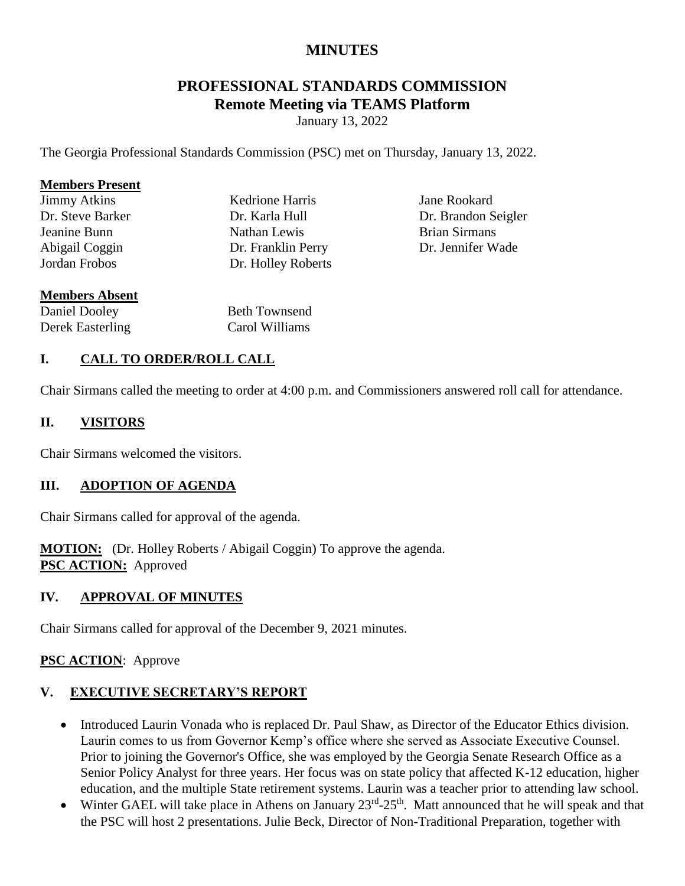# **MINUTES**

# **PROFESSIONAL STANDARDS COMMISSION Remote Meeting via TEAMS Platform**

January 13, 2022

The Georgia Professional Standards Commission (PSC) met on Thursday, January 13, 2022.

#### **Members Present**

| <b>Jimmy Atkins</b> |
|---------------------|
| Dr. Steve Barker    |
| Jeanine Bunn        |
| Abigail Coggin      |
| Jordan Frobos       |

Dr. Karla Hull Nathan Lewis Dr. Franklin Perry Dr. Holley Roberts

Kedrione Harris

Jane Rookard Dr. Brandon Seigler Brian Sirmans Dr. Jennifer Wade

# **Members Absent**

Daniel Dooley Derek Easterling Beth Townsend Carol Williams

## **I. CALL TO ORDER/ROLL CALL**

Chair Sirmans called the meeting to order at 4:00 p.m. and Commissioners answered roll call for attendance.

## **II. VISITORS**

Chair Sirmans welcomed the visitors.

## **III. ADOPTION OF AGENDA**

Chair Sirmans called for approval of the agenda.

**MOTION:** (Dr. Holley Roberts / Abigail Coggin) To approve the agenda. **PSC ACTION:** Approved

## **IV. APPROVAL OF MINUTES**

Chair Sirmans called for approval of the December 9, 2021 minutes.

## **PSC ACTION**: Approve

# **V. EXECUTIVE SECRETARY'S REPORT**

- Introduced Laurin Vonada who is replaced Dr. Paul Shaw, as Director of the Educator Ethics division. Laurin comes to us from Governor Kemp's office where she served as Associate Executive Counsel. Prior to joining the Governor's Office, she was employed by the Georgia Senate Research Office as a Senior Policy Analyst for three years. Her focus was on state policy that affected K-12 education, higher education, and the multiple State retirement systems. Laurin was a teacher prior to attending law school.
- Winter GAEL will take place in Athens on January  $23<sup>rd</sup> 25<sup>th</sup>$ . Matt announced that he will speak and that the PSC will host 2 presentations. Julie Beck, Director of Non-Traditional Preparation, together with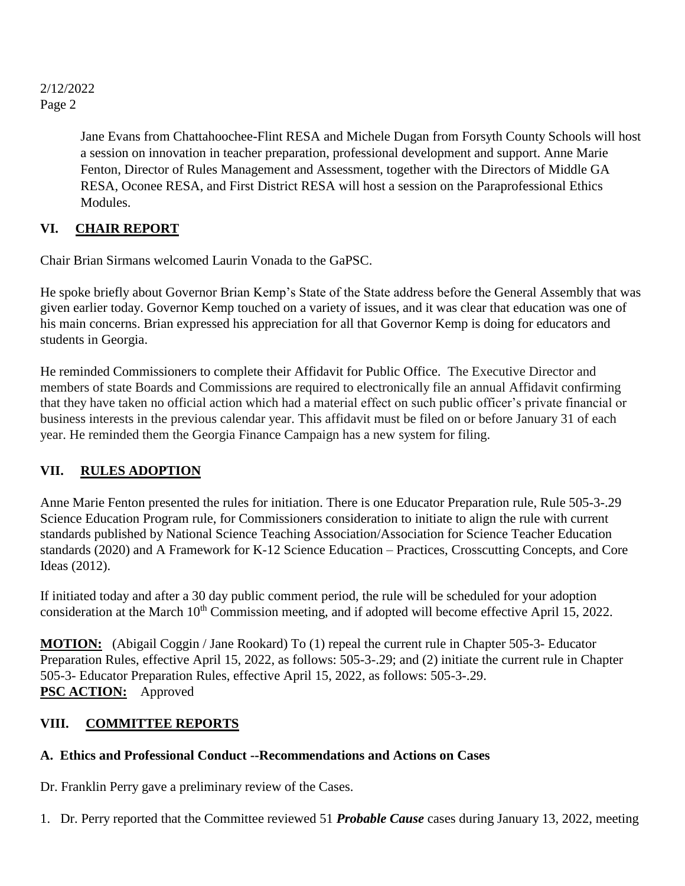> Jane Evans from Chattahoochee-Flint RESA and Michele Dugan from Forsyth County Schools will host a session on innovation in teacher preparation, professional development and support. Anne Marie Fenton, Director of Rules Management and Assessment, together with the Directors of Middle GA RESA, Oconee RESA, and First District RESA will host a session on the Paraprofessional Ethics Modules.

# **VI. CHAIR REPORT**

Chair Brian Sirmans welcomed Laurin Vonada to the GaPSC.

He spoke briefly about Governor Brian Kemp's State of the State address before the General Assembly that was given earlier today. Governor Kemp touched on a variety of issues, and it was clear that education was one of his main concerns. Brian expressed his appreciation for all that Governor Kemp is doing for educators and students in Georgia.

He reminded Commissioners to complete their Affidavit for Public Office. The Executive Director and members of state Boards and Commissions are required to electronically file an annual Affidavit confirming that they have taken no official action which had a material effect on such public officer's private financial or business interests in the previous calendar year. This affidavit must be filed on or before January 31 of each year. He reminded them the Georgia Finance Campaign has a new system for filing.

# **VII. RULES ADOPTION**

Anne Marie Fenton presented the rules for initiation. There is one Educator Preparation rule, Rule 505-3-.29 Science Education Program rule, for Commissioners consideration to initiate to align the rule with current standards published by National Science Teaching Association/Association for Science Teacher Education standards (2020) and A Framework for K-12 Science Education – Practices, Crosscutting Concepts, and Core Ideas (2012).

If initiated today and after a 30 day public comment period, the rule will be scheduled for your adoption consideration at the March 10<sup>th</sup> Commission meeting, and if adopted will become effective April 15, 2022.

**MOTION:** (Abigail Coggin / Jane Rookard) To (1) repeal the current rule in Chapter 505-3- Educator Preparation Rules, effective April 15, 2022, as follows: 505-3-.29; and (2) initiate the current rule in Chapter 505-3- Educator Preparation Rules, effective April 15, 2022, as follows: 505-3-.29. **PSC ACTION:** Approved

# **VIII. COMMITTEE REPORTS**

# **A. Ethics and Professional Conduct --Recommendations and Actions on Cases**

Dr. Franklin Perry gave a preliminary review of the Cases.

1. Dr. Perry reported that the Committee reviewed 51 *Probable Cause* cases during January 13, 2022, meeting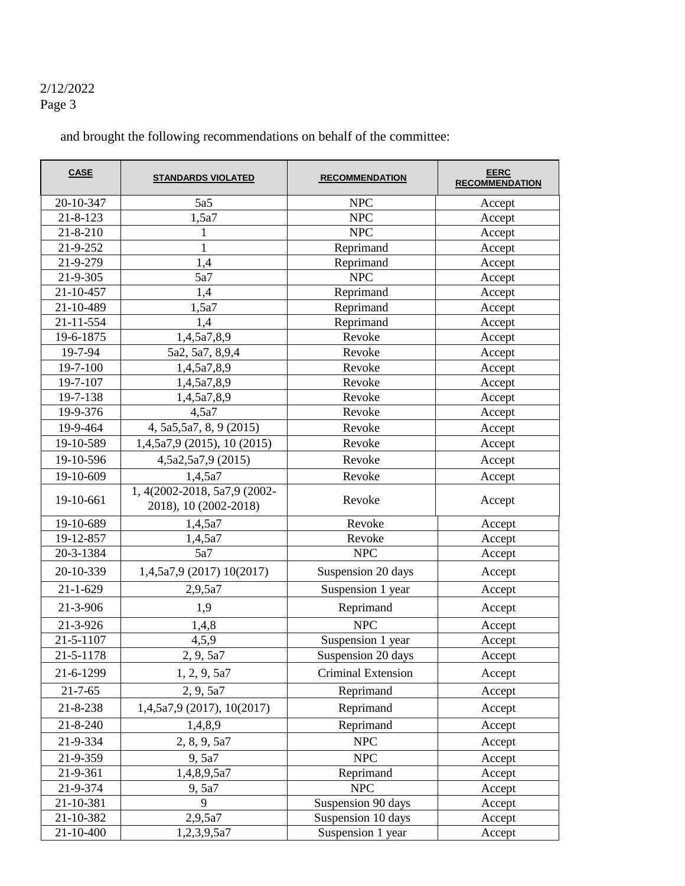and brought the following recommendations on behalf of the committee:

| <b>CASE</b>    | <b>STANDARDS VIOLATED</b>                             | <b>RECOMMENDATION</b> | <b>EERC</b><br><b>RECOMMENDATION</b> |
|----------------|-------------------------------------------------------|-----------------------|--------------------------------------|
| 20-10-347      | 5a5                                                   | <b>NPC</b>            | Accept                               |
| 21-8-123       | 1,5a7                                                 | <b>NPC</b>            | Accept                               |
| $21 - 8 - 210$ |                                                       | <b>NPC</b>            | Accept                               |
| 21-9-252       | $\mathbf{1}$                                          | Reprimand             | Accept                               |
| 21-9-279       | 1,4                                                   | Reprimand             | Accept                               |
| 21-9-305       | 5a7                                                   | <b>NPC</b>            | Accept                               |
| 21-10-457      | 1,4                                                   | Reprimand             | Accept                               |
| 21-10-489      | 1,5a7                                                 | Reprimand             | Accept                               |
| 21-11-554      | 1,4                                                   | Reprimand             | Accept                               |
| 19-6-1875      | 1,4,5a7,8,9                                           | Revoke                | Accept                               |
| 19-7-94        | 5a2, 5a7, 8,9,4                                       | Revoke                | Accept                               |
| 19-7-100       | 1,4,5a7,8,9                                           | Revoke                | Accept                               |
| 19-7-107       | 1,4,5a7,8,9                                           | Revoke                | Accept                               |
| 19-7-138       | 1,4,5a7,8,9                                           | Revoke                | Accept                               |
| 19-9-376       | 4,5a7                                                 | Revoke                | Accept                               |
| 19-9-464       | 4, 5a5, 5a7, 8, 9 (2015)                              | Revoke                | Accept                               |
| 19-10-589      | 1,4,5a7,9 (2015), 10 (2015)                           | Revoke                | Accept                               |
| 19-10-596      | 4,5a2,5a7,9 (2015)                                    | Revoke                | Accept                               |
| 19-10-609      | 1,4,5a7                                               | Revoke                | Accept                               |
| 19-10-661      | 1, 4(2002-2018, 5a7,9 (2002-<br>2018), 10 (2002-2018) | Revoke                | Accept                               |
| 19-10-689      | 1,4,5a7                                               | Revoke                | Accept                               |
| 19-12-857      | 1,4,5a7                                               | Revoke                | Accept                               |
| 20-3-1384      | 5a7                                                   | <b>NPC</b>            | Accept                               |
| 20-10-339      | 1,4,5a7,9 (2017) 10(2017)                             | Suspension 20 days    | Accept                               |
| $21 - 1 - 629$ | 2,9,5a7                                               | Suspension 1 year     | Accept                               |
| 21-3-906       | 1,9                                                   | Reprimand             | Accept                               |
| 21-3-926       | 1,4,8                                                 | <b>NPC</b>            | Accept                               |
| 21-5-1107      | 4,5,9                                                 | Suspension 1 year     | Accept                               |
| 21-5-1178      | 2, 9, 5a7                                             | Suspension 20 days    | Accept                               |
| 21-6-1299      | 1, 2, 9, 5a7                                          | Criminal Extension    | Accept                               |
| $21 - 7 - 65$  | 2, 9, 5a7                                             | Reprimand             | Accept                               |
| 21-8-238       | 1,4,5a7,9 (2017), 10(2017)                            | Reprimand             | Accept                               |
| 21-8-240       | 1,4,8,9                                               | Reprimand             | Accept                               |
| 21-9-334       | 2, 8, 9, 5a7                                          | NPC                   | Accept                               |
| 21-9-359       | 9,5a7                                                 | NPC                   | Accept                               |
| 21-9-361       | 1,4,8,9,5a7                                           | Reprimand             | Accept                               |
| 21-9-374       | 9, 5a7                                                | <b>NPC</b>            | Accept                               |
| 21-10-381      | 9                                                     | Suspension 90 days    | Accept                               |
| 21-10-382      | 2,9,5a7                                               | Suspension 10 days    | Accept                               |
| 21-10-400      | 1,2,3,9,5a7                                           | Suspension 1 year     | Accept                               |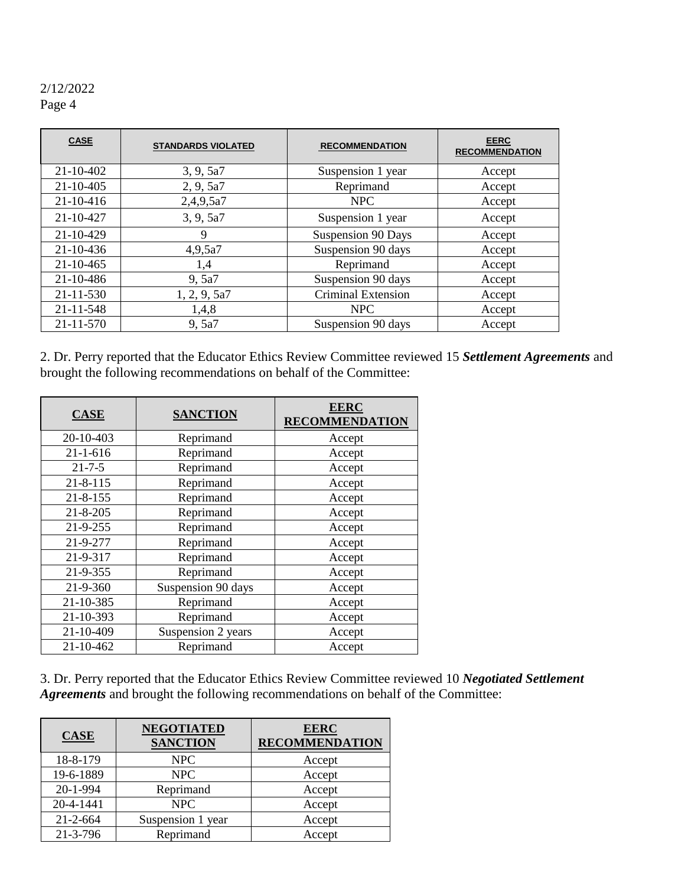| <b>CASE</b>     | <b>STANDARDS VIOLATED</b> | <b>RECOMMENDATION</b>     | <b>EERC</b><br><b>RECOMMENDATION</b> |
|-----------------|---------------------------|---------------------------|--------------------------------------|
| 21-10-402       | 3, 9, 5a7                 | Suspension 1 year         | Accept                               |
| $21 - 10 - 405$ | 2, 9, 5a7                 | Reprimand                 | Accept                               |
| $21 - 10 - 416$ | 2,4,9,5a7                 | <b>NPC</b>                | Accept                               |
| 21-10-427       | 3, 9, 5a7                 | Suspension 1 year         | Accept                               |
| 21-10-429       | 9                         | Suspension 90 Days        | Accept                               |
| $21 - 10 - 436$ | 4,9,5a7                   | Suspension 90 days        | Accept                               |
| 21-10-465       | 1,4                       | Reprimand                 | Accept                               |
| 21-10-486       | 9,5a7                     | Suspension 90 days        | Accept                               |
| $21 - 11 - 530$ | 1, 2, 9, 5a7              | <b>Criminal Extension</b> | Accept                               |
| $21 - 11 - 548$ | 1,4,8                     | <b>NPC</b>                | Accept                               |
| 21-11-570       | 9,5a7                     | Suspension 90 days        | Accept                               |

2. Dr. Perry reported that the Educator Ethics Review Committee reviewed 15 *Settlement Agreements* and brought the following recommendations on behalf of the Committee:

| <b>CASE</b>    | <b>SANCTION</b>    | <b>EERC</b><br><b>RECOMMENDATION</b> |
|----------------|--------------------|--------------------------------------|
| 20-10-403      | Reprimand          | Accept                               |
| $21 - 1 - 616$ | Reprimand          | Accept                               |
| $21 - 7 - 5$   | Reprimand          | Accept                               |
| $21 - 8 - 115$ | Reprimand          | Accept                               |
| $21 - 8 - 155$ | Reprimand          | Accept                               |
| $21 - 8 - 205$ | Reprimand          | Accept                               |
| 21-9-255       | Reprimand          | Accept                               |
| 21-9-277       | Reprimand          | Accept                               |
| 21-9-317       | Reprimand          | Accept                               |
| 21-9-355       | Reprimand          | Accept                               |
| 21-9-360       | Suspension 90 days | Accept                               |
| 21-10-385      | Reprimand          | Accept                               |
| 21-10-393      | Reprimand          | Accept                               |
| 21-10-409      | Suspension 2 years | Accept                               |
| 21-10-462      | Reprimand          | Accept                               |

3. Dr. Perry reported that the Educator Ethics Review Committee reviewed 10 *Negotiated Settlement Agreements* and brought the following recommendations on behalf of the Committee:

| <b>CASE</b>    | <b>NEGOTIATED</b><br><b>SANCTION</b> | <b>EERC</b><br><b>RECOMMENDATION</b> |
|----------------|--------------------------------------|--------------------------------------|
| 18-8-179       | <b>NPC</b>                           | Accept                               |
| 19-6-1889      | <b>NPC</b>                           | Accept                               |
| 20-1-994       | Reprimand                            | Accept                               |
| 20-4-1441      | <b>NPC</b>                           | Accept                               |
| $21 - 2 - 664$ | Suspension 1 year                    | Accept                               |
| $21 - 3 - 796$ | Reprimand                            | Accept                               |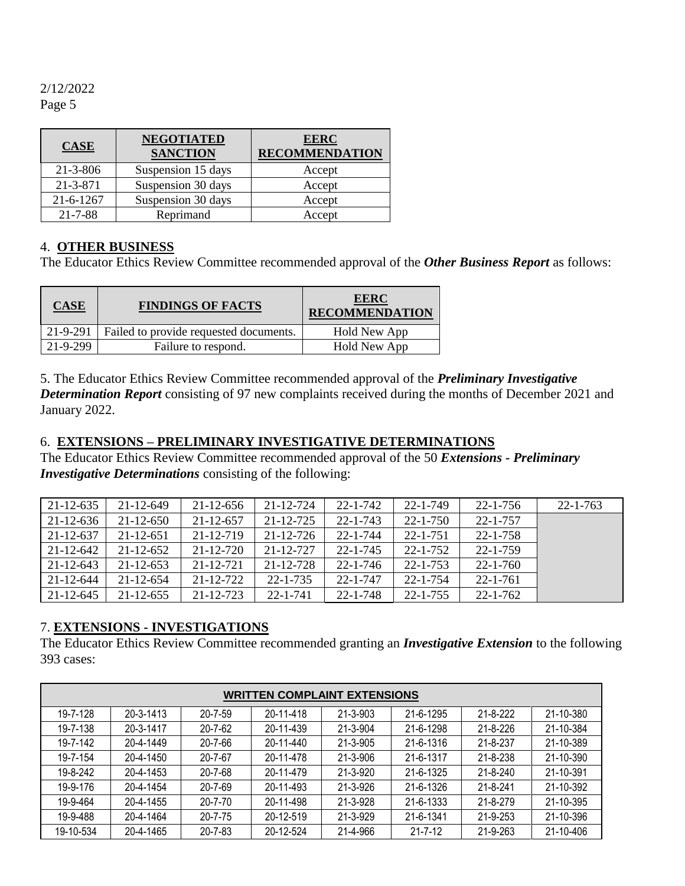| <b>CASE</b>    | <b>NEGOTIATED</b><br><b>SANCTION</b> | <b>EERC</b><br><b>RECOMMENDATION</b> |
|----------------|--------------------------------------|--------------------------------------|
| $21 - 3 - 806$ | Suspension 15 days                   | Accept                               |
| 21-3-871       | Suspension 30 days                   | Accept                               |
| 21-6-1267      | Suspension 30 days                   | Accept                               |
| $21 - 7 - 88$  | Reprimand                            | Accept                               |

## 4. **OTHER BUSINESS**

The Educator Ethics Review Committee recommended approval of the *Other Business Report* as follows:

| <b>CASE</b> | <b>FINDINGS OF FACTS</b>               | <b>EERC</b><br><b>RECOMMENDATION</b> |
|-------------|----------------------------------------|--------------------------------------|
| 21-9-291    | Failed to provide requested documents. | Hold New App                         |
| 21-9-299    | Failure to respond.                    | Hold New App                         |

5. The Educator Ethics Review Committee recommended approval of the *Preliminary Investigative Determination Report* consisting of 97 new complaints received during the months of December 2021 and January 2022.

## 6. **EXTENSIONS – PRELIMINARY INVESTIGATIVE DETERMINATIONS**

The Educator Ethics Review Committee recommended approval of the 50 *Extensions - Preliminary Investigative Determinations* consisting of the following:

| 21-12-635       | 21-12-649       | $21 - 12 - 656$ | 21-12-724       | $22 - 1 - 742$ | 22-1-749       | $22 - 1 - 756$ | $22 - 1 - 763$ |
|-----------------|-----------------|-----------------|-----------------|----------------|----------------|----------------|----------------|
| 21-12-636       | $21 - 12 - 650$ | 21-12-657       | 21-12-725       | $22 - 1 - 743$ | $22 - 1 - 750$ | 22-1-757       |                |
| 21-12-637       | $21 - 12 - 651$ | 21-12-719       | $21 - 12 - 726$ | $22 - 1 - 744$ | $22 - 1 - 751$ | 22-1-758       |                |
| 21-12-642       | $21 - 12 - 652$ | $21 - 12 - 720$ | 21-12-727       | $22 - 1 - 745$ | 22-1-752       | 22-1-759       |                |
| 21-12-643       | $21 - 12 - 653$ | 21-12-721       | 21-12-728       | $22 - 1 - 746$ | $22 - 1 - 753$ | $22 - 1 - 760$ |                |
| 21-12-644       | $21 - 12 - 654$ | 21-12-722       | 22-1-735        | $22 - 1 - 747$ | $22 - 1 - 754$ | $22 - 1 - 761$ |                |
| $21 - 12 - 645$ | $21 - 12 - 655$ | $21 - 12 - 723$ | $22 - 1 - 741$  | $22 - 1 - 748$ | $22 - 1 - 755$ | $22 - 1 - 762$ |                |

## 7. **EXTENSIONS - INVESTIGATIONS**

The Educator Ethics Review Committee recommended granting an *Investigative Extension* to the following 393 cases:

| <b>WRITTEN COMPLAINT EXTENSIONS</b> |           |               |           |                |               |                |           |
|-------------------------------------|-----------|---------------|-----------|----------------|---------------|----------------|-----------|
| 19-7-128                            | 20-3-1413 | $20 - 7 - 59$ | 20-11-418 | $21 - 3 - 903$ | 21-6-1295     | $21 - 8 - 222$ | 21-10-380 |
| 19-7-138                            | 20-3-1417 | 20-7-62       | 20-11-439 | 21-3-904       | 21-6-1298     | $21 - 8 - 226$ | 21-10-384 |
| 19-7-142                            | 20-4-1449 | 20-7-66       | 20-11-440 | 21-3-905       | 21-6-1316     | 21-8-237       | 21-10-389 |
| 19-7-154                            | 20-4-1450 | 20-7-67       | 20-11-478 | 21-3-906       | 21-6-1317     | 21-8-238       | 21-10-390 |
| 19-8-242                            | 20-4-1453 | $20 - 7 - 68$ | 20-11-479 | $21 - 3 - 920$ | 21-6-1325     | $21 - 8 - 240$ | 21-10-391 |
| 19-9-176                            | 20-4-1454 | $20 - 7 - 69$ | 20-11-493 | 21-3-926       | 21-6-1326     | $21 - 8 - 241$ | 21-10-392 |
| 19-9-464                            | 20-4-1455 | 20-7-70       | 20-11-498 | $21 - 3 - 928$ | 21-6-1333     | 21-8-279       | 21-10-395 |
| 19-9-488                            | 20-4-1464 | $20 - 7 - 75$ | 20-12-519 | 21-3-929       | 21-6-1341     | 21-9-253       | 21-10-396 |
| 19-10-534                           | 20-4-1465 | $20 - 7 - 83$ | 20-12-524 | 21-4-966       | $21 - 7 - 12$ | 21-9-263       | 21-10-406 |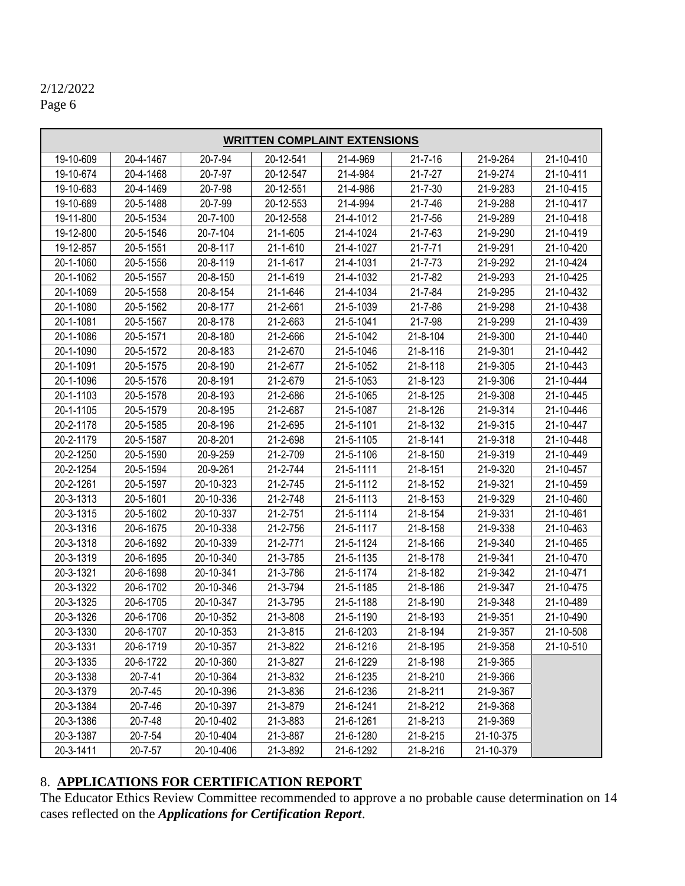# 2/12/2022

Page 6

|           | <b>WRITTEN COMPLAINT EXTENSIONS</b> |           |           |           |                |           |           |
|-----------|-------------------------------------|-----------|-----------|-----------|----------------|-----------|-----------|
| 19-10-609 | 20-4-1467                           | 20-7-94   | 20-12-541 | 21-4-969  | $21 - 7 - 16$  | 21-9-264  | 21-10-410 |
| 19-10-674 | 20-4-1468                           | 20-7-97   | 20-12-547 | 21-4-984  | $21 - 7 - 27$  | 21-9-274  | 21-10-411 |
| 19-10-683 | 20-4-1469                           | 20-7-98   | 20-12-551 | 21-4-986  | $21 - 7 - 30$  | 21-9-283  | 21-10-415 |
| 19-10-689 | 20-5-1488                           | 20-7-99   | 20-12-553 | 21-4-994  | $21 - 7 - 46$  | 21-9-288  | 21-10-417 |
| 19-11-800 | 20-5-1534                           | 20-7-100  | 20-12-558 | 21-4-1012 | $21 - 7 - 56$  | 21-9-289  | 21-10-418 |
| 19-12-800 | 20-5-1546                           | 20-7-104  | 21-1-605  | 21-4-1024 | $21 - 7 - 63$  | 21-9-290  | 21-10-419 |
| 19-12-857 | 20-5-1551                           | 20-8-117  | 21-1-610  | 21-4-1027 | $21 - 7 - 71$  | 21-9-291  | 21-10-420 |
| 20-1-1060 | 20-5-1556                           | 20-8-119  | 21-1-617  | 21-4-1031 | $21 - 7 - 73$  | 21-9-292  | 21-10-424 |
| 20-1-1062 | 20-5-1557                           | 20-8-150  | 21-1-619  | 21-4-1032 | $21 - 7 - 82$  | 21-9-293  | 21-10-425 |
| 20-1-1069 | 20-5-1558                           | 20-8-154  | 21-1-646  | 21-4-1034 | $21 - 7 - 84$  | 21-9-295  | 21-10-432 |
| 20-1-1080 | 20-5-1562                           | 20-8-177  | 21-2-661  | 21-5-1039 | $21 - 7 - 86$  | 21-9-298  | 21-10-438 |
| 20-1-1081 | 20-5-1567                           | 20-8-178  | 21-2-663  | 21-5-1041 | 21-7-98        | 21-9-299  | 21-10-439 |
| 20-1-1086 | 20-5-1571                           | 20-8-180  | 21-2-666  | 21-5-1042 | 21-8-104       | 21-9-300  | 21-10-440 |
| 20-1-1090 | 20-5-1572                           | 20-8-183  | 21-2-670  | 21-5-1046 | 21-8-116       | 21-9-301  | 21-10-442 |
| 20-1-1091 | 20-5-1575                           | 20-8-190  | 21-2-677  | 21-5-1052 | $21 - 8 - 118$ | 21-9-305  | 21-10-443 |
| 20-1-1096 | 20-5-1576                           | 20-8-191  | 21-2-679  | 21-5-1053 | 21-8-123       | 21-9-306  | 21-10-444 |
| 20-1-1103 | 20-5-1578                           | 20-8-193  | 21-2-686  | 21-5-1065 | 21-8-125       | 21-9-308  | 21-10-445 |
| 20-1-1105 | 20-5-1579                           | 20-8-195  | 21-2-687  | 21-5-1087 | 21-8-126       | 21-9-314  | 21-10-446 |
| 20-2-1178 | 20-5-1585                           | 20-8-196  | 21-2-695  | 21-5-1101 | 21-8-132       | 21-9-315  | 21-10-447 |
| 20-2-1179 | 20-5-1587                           | 20-8-201  | 21-2-698  | 21-5-1105 | $21 - 8 - 141$ | 21-9-318  | 21-10-448 |
| 20-2-1250 | 20-5-1590                           | 20-9-259  | 21-2-709  | 21-5-1106 | $21 - 8 - 150$ | 21-9-319  | 21-10-449 |
| 20-2-1254 | 20-5-1594                           | 20-9-261  | 21-2-744  | 21-5-1111 | $21 - 8 - 151$ | 21-9-320  | 21-10-457 |
| 20-2-1261 | 20-5-1597                           | 20-10-323 | 21-2-745  | 21-5-1112 | 21-8-152       | 21-9-321  | 21-10-459 |
| 20-3-1313 | 20-5-1601                           | 20-10-336 | 21-2-748  | 21-5-1113 | 21-8-153       | 21-9-329  | 21-10-460 |
| 20-3-1315 | 20-5-1602                           | 20-10-337 | 21-2-751  | 21-5-1114 | 21-8-154       | 21-9-331  | 21-10-461 |
| 20-3-1316 | 20-6-1675                           | 20-10-338 | 21-2-756  | 21-5-1117 | 21-8-158       | 21-9-338  | 21-10-463 |
| 20-3-1318 | 20-6-1692                           | 20-10-339 | 21-2-771  | 21-5-1124 | 21-8-166       | 21-9-340  | 21-10-465 |
| 20-3-1319 | 20-6-1695                           | 20-10-340 | 21-3-785  | 21-5-1135 | 21-8-178       | 21-9-341  | 21-10-470 |
| 20-3-1321 | 20-6-1698                           | 20-10-341 | 21-3-786  | 21-5-1174 | 21-8-182       | 21-9-342  | 21-10-471 |
| 20-3-1322 | 20-6-1702                           | 20-10-346 | 21-3-794  | 21-5-1185 | 21-8-186       | 21-9-347  | 21-10-475 |
| 20-3-1325 | 20-6-1705                           | 20-10-347 | 21-3-795  | 21-5-1188 | $21 - 8 - 190$ | 21-9-348  | 21-10-489 |
| 20-3-1326 | 20-6-1706                           | 20-10-352 | 21-3-808  | 21-5-1190 | 21-8-193       | 21-9-351  | 21-10-490 |
| 20-3-1330 | 20-6-1707                           | 20-10-353 | 21-3-815  | 21-6-1203 | 21-8-194       | 21-9-357  | 21-10-508 |
| 20-3-1331 | 20-6-1719                           | 20-10-357 | 21-3-822  | 21-6-1216 | 21-8-195       | 21-9-358  | 21-10-510 |
| 20-3-1335 | 20-6-1722                           | 20-10-360 | 21-3-827  | 21-6-1229 | 21-8-198       | 21-9-365  |           |
| 20-3-1338 | $20 - 7 - 41$                       | 20-10-364 | 21-3-832  | 21-6-1235 | 21-8-210       | 21-9-366  |           |
| 20-3-1379 | $20 - 7 - 45$                       | 20-10-396 | 21-3-836  | 21-6-1236 | 21-8-211       | 21-9-367  |           |
| 20-3-1384 | 20-7-46                             | 20-10-397 | 21-3-879  | 21-6-1241 | 21-8-212       | 21-9-368  |           |
| 20-3-1386 | 20-7-48                             | 20-10-402 | 21-3-883  | 21-6-1261 | 21-8-213       | 21-9-369  |           |
| 20-3-1387 | 20-7-54                             | 20-10-404 | 21-3-887  | 21-6-1280 | 21-8-215       | 21-10-375 |           |
| 20-3-1411 | 20-7-57                             | 20-10-406 | 21-3-892  | 21-6-1292 | 21-8-216       | 21-10-379 |           |

# 8. **APPLICATIONS FOR CERTIFICATION REPORT**

The Educator Ethics Review Committee recommended to approve a no probable cause determination on 14 cases reflected on the *Applications for Certification Report*.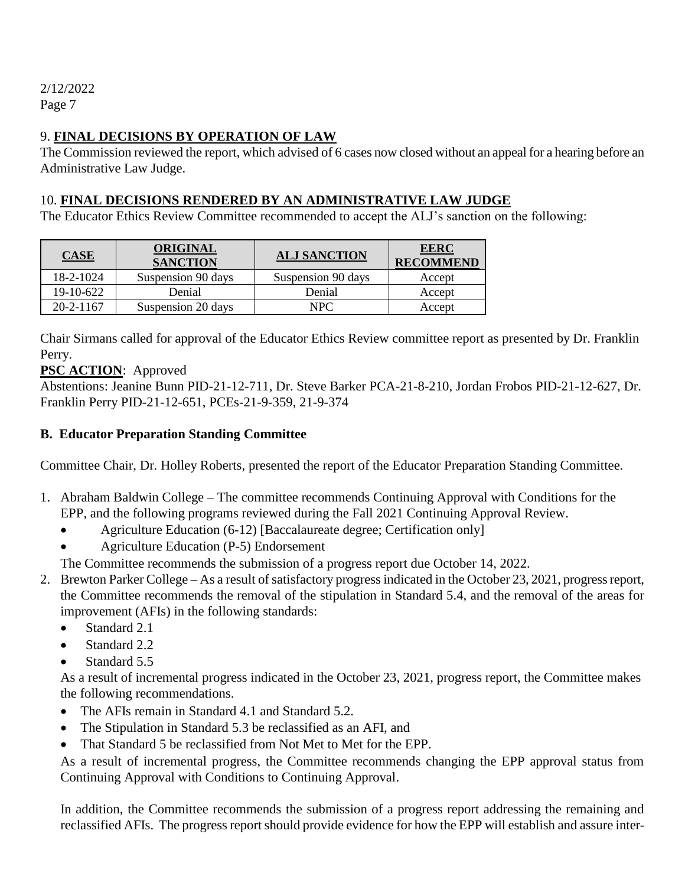## 9. **FINAL DECISIONS BY OPERATION OF LAW**

The Commission reviewed the report, which advised of 6 cases now closed without an appeal for a hearing before an Administrative Law Judge.

## 10. **FINAL DECISIONS RENDERED BY AN ADMINISTRATIVE LAW JUDGE**

The Educator Ethics Review Committee recommended to accept the ALJ's sanction on the following:

| $\overline{\text{CASE}}$ | <b>ORIGINAL</b><br><b>SANCTION</b> | <b>ALJ SANCTION</b> | <b>EERC</b><br><b>RECOMMEND</b> |
|--------------------------|------------------------------------|---------------------|---------------------------------|
| 18-2-1024                | Suspension 90 days                 | Suspension 90 days  | Accept                          |
| 19-10-622                | Denial                             | Denial              | Accept                          |
| $20 - 2 - 1167$          | Suspension 20 days                 | NPC                 | Accept                          |

Chair Sirmans called for approval of the Educator Ethics Review committee report as presented by Dr. Franklin Perry.

## **PSC ACTION**: Approved

Abstentions: Jeanine Bunn PID-21-12-711, Dr. Steve Barker PCA-21-8-210, Jordan Frobos PID-21-12-627, Dr. Franklin Perry PID-21-12-651, PCEs-21-9-359, 21-9-374

#### **B. Educator Preparation Standing Committee**

Committee Chair, Dr. Holley Roberts, presented the report of the Educator Preparation Standing Committee.

- 1. Abraham Baldwin College The committee recommends Continuing Approval with Conditions for the EPP, and the following programs reviewed during the Fall 2021 Continuing Approval Review.
	- Agriculture Education (6-12) [Baccalaureate degree; Certification only]
	- Agriculture Education (P-5) Endorsement

The Committee recommends the submission of a progress report due October 14, 2022.

- 2. Brewton Parker College As a result of satisfactory progress indicated in the October 23, 2021, progress report, the Committee recommends the removal of the stipulation in Standard 5.4, and the removal of the areas for improvement (AFIs) in the following standards:
	- Standard 2.1
	- Standard 2.2
	- Standard 5.5

As a result of incremental progress indicated in the October 23, 2021, progress report, the Committee makes the following recommendations.

- The AFIs remain in Standard 4.1 and Standard 5.2.
- The Stipulation in Standard 5.3 be reclassified as an AFI, and
- That Standard 5 be reclassified from Not Met to Met for the EPP.

As a result of incremental progress, the Committee recommends changing the EPP approval status from Continuing Approval with Conditions to Continuing Approval.

In addition, the Committee recommends the submission of a progress report addressing the remaining and reclassified AFIs. The progress report should provide evidence for how the EPP will establish and assure inter-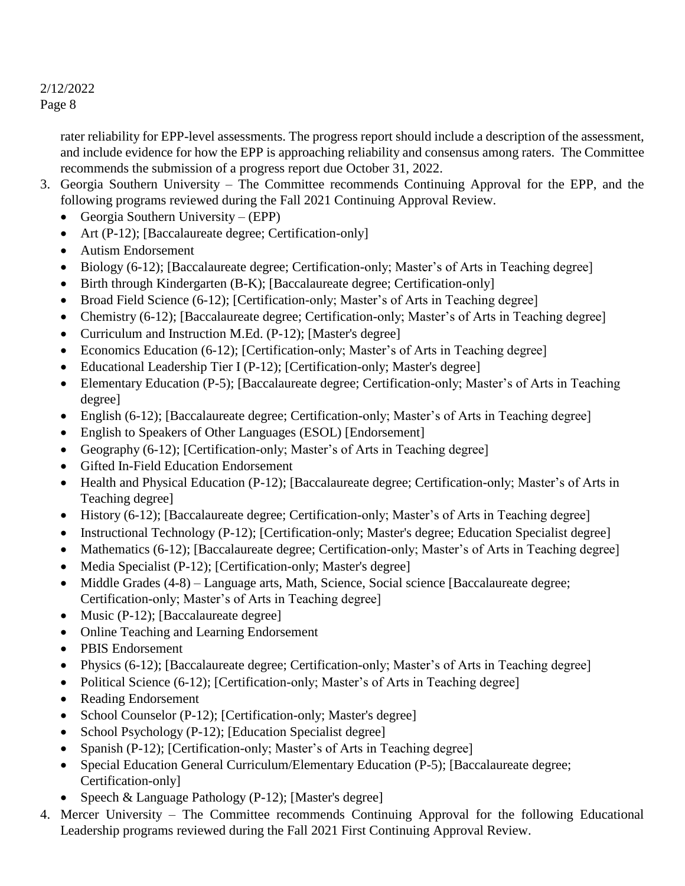rater reliability for EPP-level assessments. The progress report should include a description of the assessment, and include evidence for how the EPP is approaching reliability and consensus among raters. The Committee recommends the submission of a progress report due October 31, 2022.

- 3. Georgia Southern University The Committee recommends Continuing Approval for the EPP, and the following programs reviewed during the Fall 2021 Continuing Approval Review.
	- Georgia Southern University  $(EPP)$
	- Art (P-12); [Baccalaureate degree; Certification-only]
	- Autism Endorsement
	- Biology (6-12); [Baccalaureate degree; Certification-only; Master's of Arts in Teaching degree]
	- Birth through Kindergarten (B-K); [Baccalaureate degree; Certification-only]
	- Broad Field Science (6-12); [Certification-only; Master's of Arts in Teaching degree]
	- Chemistry (6-12); [Baccalaureate degree; Certification-only; Master's of Arts in Teaching degree]
	- Curriculum and Instruction M.Ed. (P-12); [Master's degree]
	- Economics Education (6-12); [Certification-only; Master's of Arts in Teaching degree]
	- Educational Leadership Tier I (P-12); [Certification-only; Master's degree]
	- Elementary Education (P-5); [Baccalaureate degree; Certification-only; Master's of Arts in Teaching degree]
	- English (6-12); [Baccalaureate degree; Certification-only; Master's of Arts in Teaching degree]
	- English to Speakers of Other Languages (ESOL) [Endorsement]
	- Geography (6-12); [Certification-only; Master's of Arts in Teaching degree]
	- Gifted In-Field Education Endorsement
	- Health and Physical Education (P-12); [Baccalaureate degree; Certification-only; Master's of Arts in Teaching degree]
	- History (6-12); [Baccalaureate degree; Certification-only; Master's of Arts in Teaching degree]
	- Instructional Technology (P-12); [Certification-only; Master's degree; Education Specialist degree]
	- Mathematics (6-12); [Baccalaureate degree; Certification-only; Master's of Arts in Teaching degree]
	- Media Specialist (P-12); [Certification-only; Master's degree]
	- Middle Grades (4-8) Language arts, Math, Science, Social science [Baccalaureate degree; Certification-only; Master's of Arts in Teaching degree]
	- Music (P-12); [Baccalaureate degree]
	- Online Teaching and Learning Endorsement
	- PBIS Endorsement
	- Physics (6-12); [Baccalaureate degree; Certification-only; Master's of Arts in Teaching degree]
	- Political Science (6-12); [Certification-only; Master's of Arts in Teaching degree]
	- Reading Endorsement
	- School Counselor (P-12); [Certification-only; Master's degree]
	- School Psychology (P-12); [Education Specialist degree]
	- Spanish (P-12); [Certification-only; Master's of Arts in Teaching degree]
	- Special Education General Curriculum/Elementary Education (P-5); [Baccalaureate degree; Certification-only]
	- Speech & Language Pathology (P-12); [Master's degree]
- 4. Mercer University The Committee recommends Continuing Approval for the following Educational Leadership programs reviewed during the Fall 2021 First Continuing Approval Review.